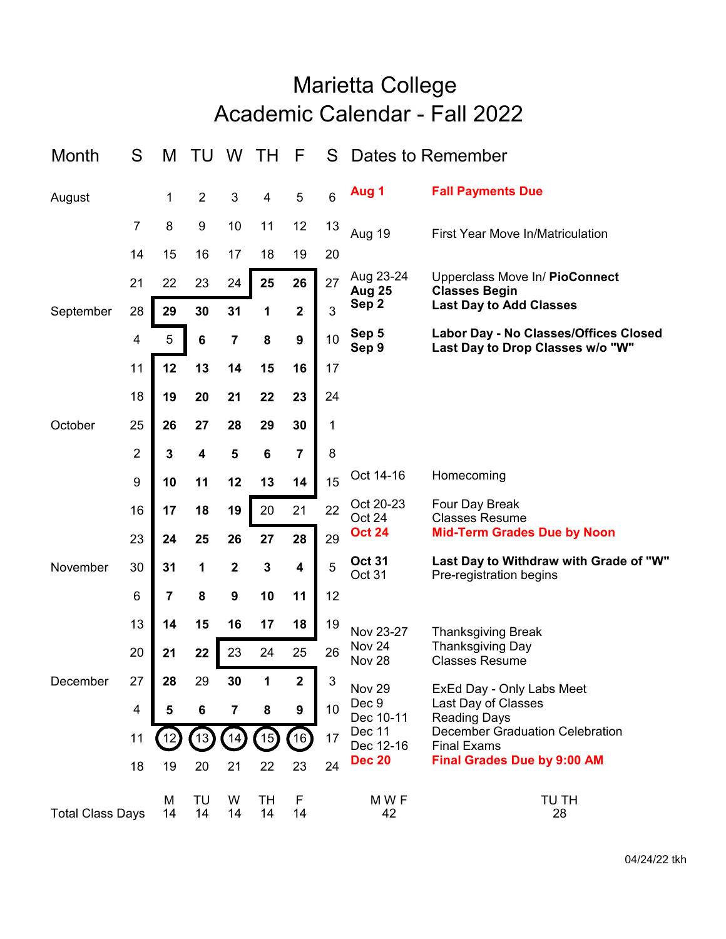## Academic Calendar - Fall 2022 Marietta College

| Month                   | S                | M                       | ТU             | W                       | ΤH                      | F                       | S                | Dates to Remember                                   |                                                                               |
|-------------------------|------------------|-------------------------|----------------|-------------------------|-------------------------|-------------------------|------------------|-----------------------------------------------------|-------------------------------------------------------------------------------|
| August                  |                  | 1                       | $\overline{2}$ | 3                       | $\overline{\mathbf{4}}$ | 5                       | $6\phantom{1}$   | Aug 1                                               | <b>Fall Payments Due</b>                                                      |
|                         | 7                | 8                       | 9              | 10                      | 11                      | 12                      | 13               | <b>Aug 19</b>                                       | First Year Move In/Matriculation                                              |
|                         | 14               | 15                      | 16             | 17                      | 18                      | 19                      | 20               |                                                     |                                                                               |
| September               | 21               | 22                      | 23             | 24                      | 25                      | 26                      | 27               | Aug 23-24<br>Aug 25                                 | Upperclass Move In/ PioConnect<br><b>Classes Begin</b>                        |
|                         | 28               | 29                      | 30<br>31       | 1                       | $\mathbf 2$             | 3                       | Sep <sub>2</sub> | <b>Last Day to Add Classes</b>                      |                                                                               |
|                         | 4                | 5                       | $\bf 6$        | $\overline{\mathbf{7}}$ | ${\bf 8}$               | $\boldsymbol{9}$        | 10               | Sep 5<br>Sep 9                                      | Labor Day - No Classes/Offices Closed<br>Last Day to Drop Classes w/o "W"     |
|                         | 11               | 12                      | 13             | 14                      | 15                      | 16                      | 17               |                                                     |                                                                               |
|                         | 18               | 19                      | 20             | 21                      | 22                      | 23                      | 24               |                                                     |                                                                               |
| October                 | 25               | 26                      | 27             | 28                      | 29                      | 30                      | 1                |                                                     |                                                                               |
|                         | $\boldsymbol{2}$ | 3                       | 4              | $\overline{\mathbf{5}}$ | $\bf 6$                 | $\overline{7}$          | 8                |                                                     |                                                                               |
|                         | 9                | 10                      | 11             | 12                      | 13                      | 14                      | 15               | Oct 14-16                                           | Homecoming                                                                    |
|                         | 16               | 17                      | 18             | 19                      | 20                      | 21                      | 22               | Oct 20-23<br>Oct 24                                 | Four Day Break<br><b>Classes Resume</b>                                       |
|                         | 23               | 24                      | 25             | 26                      | 27                      | 28                      | 29               | <b>Oct 24</b>                                       | <b>Mid-Term Grades Due by Noon</b>                                            |
| November                | 30               | 31                      | 1              | $\mathbf 2$             | $\mathbf 3$             | $\overline{\mathbf{4}}$ | 5                | <b>Oct 31</b><br>Oct 31                             | Last Day to Withdraw with Grade of "W"<br>Pre-registration begins             |
|                         | 6                | $\overline{\mathbf{7}}$ | 8<br>9<br>10   |                         | 11                      | 12                      |                  |                                                     |                                                                               |
|                         | 13               | 14                      | 15             | 16                      | 17                      | 18                      | 19               | Nov 23-27<br>Nov <sub>24</sub><br>Nov <sub>28</sub> | <b>Thanksgiving Break</b><br><b>Thanksgiving Day</b><br><b>Classes Resume</b> |
|                         | 20               | 21                      | 22             | 23                      | 24                      | 25                      | 26               |                                                     |                                                                               |
| December                | 27               | 28                      | 29             | 30                      | 1                       | $\mathbf 2$             | 3                | Nov 29                                              | ExEd Day - Only Labs Meet                                                     |
|                         | $\overline{4}$   | 5                       | 6              | $\overline{\mathbf{7}}$ | 8                       | $\boldsymbol{9}$        | 10               | Dec 9<br>Dec 10-11                                  | Last Day of Classes<br><b>Reading Days</b>                                    |
|                         | 11               | 12                      | 13)            | 14)                     | $\left(15\right)$       | 16)                     | 17               | Dec 11<br>Dec 12-16                                 | <b>December Graduation Celebration</b><br><b>Final Exams</b>                  |
|                         | 18               | 19                      | 20             | 21                      | 22                      | 23                      | 24               | <b>Dec 20</b>                                       | <b>Final Grades Due by 9:00 AM</b>                                            |
| <b>Total Class Days</b> |                  | M<br>14                 | TU<br>14       | W<br>14                 | TН<br>14                | F<br>14                 |                  | M W F<br>42                                         | TU TH<br>28                                                                   |